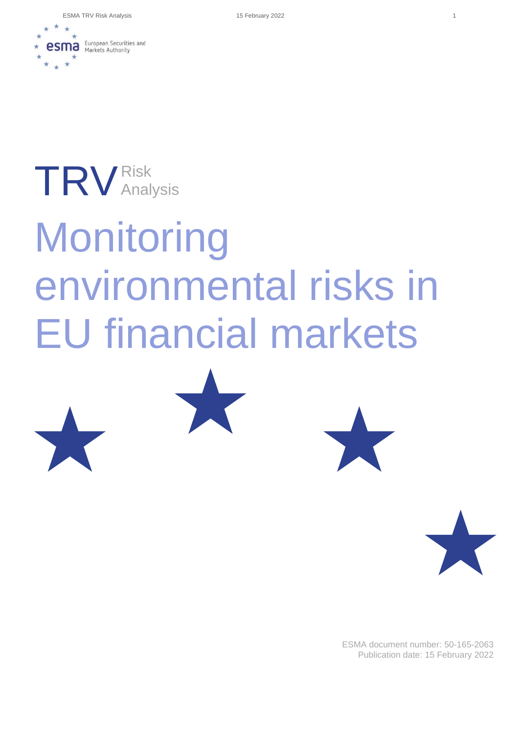ESMA TRV Risk Analysis 15 February 2022 1



## TRV Risk Analysis

# **Monitoring** environmental risks in EU financial markets







ESMA document number: 50-165-2063 Publication date: 15 February 2022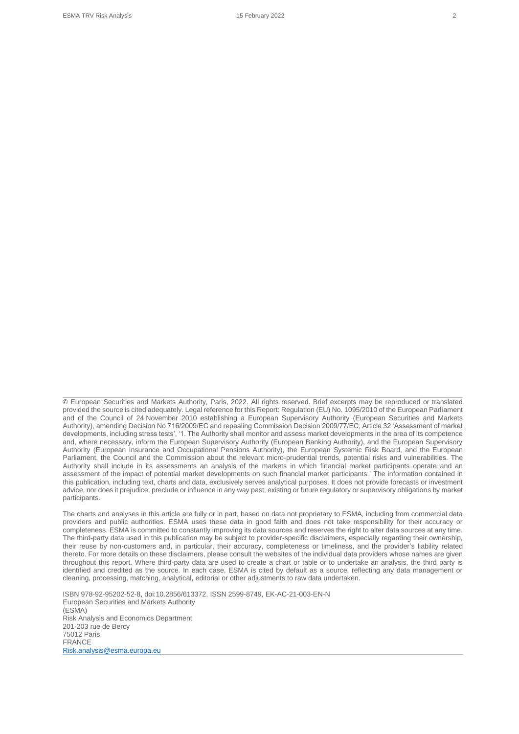provided the source is cited adequately. Legal reference for this Report: Regulation (EU) No. 1095/2010 of the European Parliament and of the Council of 24 November 2010 establishing a European Supervisory Authority (European Securities and Markets Authority), amending Decision No 716/2009/EC and repealing Commission Decision 2009/77/EC, Article 32 'Assessment of market developments, including stress tests', '1. The Authority shall monitor and assess market developments in the area of its competence and, where necessary, inform the European Supervisory Authority (European Banking Authority), and the European Supervisory Authority (European Insurance and Occupational Pensions Authority), the European Systemic Risk Board, and the European Parliament, the Council and the Commission about the relevant micro-prudential trends, potential risks and vulnerabilities. The Authority shall include in its assessments an analysis of the markets in which financial market participants operate and an assessment of the impact of potential market developments on such financial market participants.' The information contained in this publication, including text, charts and data, exclusively serves analytical purposes. It does not provide forecasts or investment advice, nor does it prejudice, preclude or influence in any way past, existing or future regulatory or supervisory obligations by market participants.

© European Securities and Markets Authority, Paris, 2022. All rights reserved. Brief excerpts may be reproduced or translated

The charts and analyses in this article are fully or in part, based on data not proprietary to ESMA, including from commercial data providers and public authorities. ESMA uses these data in good faith and does not take responsibility for their accuracy or completeness. ESMA is committed to constantly improving its data sources and reserves the right to alter data sources at any time. The third-party data used in this publication may be subject to provider-specific disclaimers, especially regarding their ownership, their reuse by non-customers and, in particular, their accuracy, completeness or timeliness, and the provider's liability related thereto. For more details on these disclaimers, please consult the websites of the individual data providers whose names are given throughout this report. Where third-party data are used to create a chart or table or to undertake an analysis, the third party is identified and credited as the source. In each case, ESMA is cited by default as a source, reflecting any data management or cleaning, processing, matching, analytical, editorial or other adjustments to raw data undertaken.

ISBN 978-92-95202-52-8, doi:10.2856/613372, ISSN 2599-8749, EK-AC-21-003-EN-N European Securities and Markets Authority (ESMA) Risk Analysis and Economics Department 201-203 rue de Bercy 75012 Paris FRANCE [Risk.analysis@esma.europa.eu](mailto:Risk.analysis@esma.europa.eu)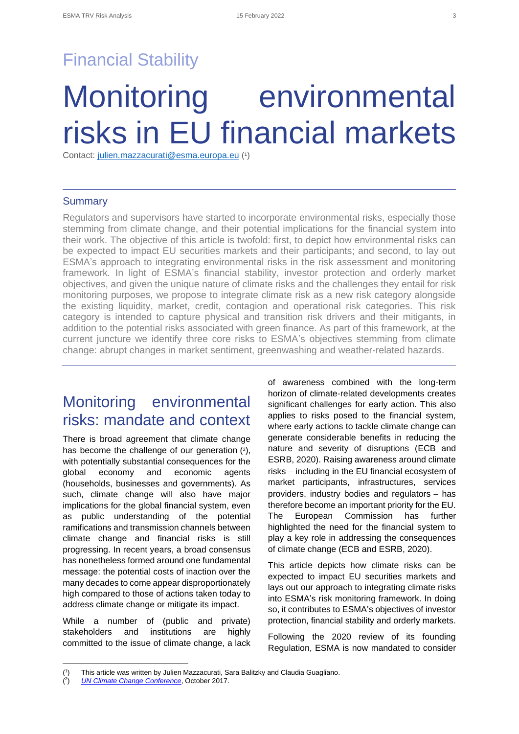## Financial Stability

## Monitoring environmental risks in EU financial markets

Contact: [julien.mazzacurati@esma.europa.eu](mailto:julien.mazzacurati@esma.europa.eu) (1)

#### **Summary**

Regulators and supervisors have started to incorporate environmental risks, especially those stemming from climate change, and their potential implications for the financial system into their work. The objective of this article is twofold: first, to depict how environmental risks can be expected to impact EU securities markets and their participants; and second, to lay out ESMA's approach to integrating environmental risks in the risk assessment and monitoring framework. In light of ESMA's financial stability, investor protection and orderly market objectives, and given the unique nature of climate risks and the challenges they entail for risk monitoring purposes, we propose to integrate climate risk as a new risk category alongside the existing liquidity, market, credit, contagion and operational risk categories. This risk category is intended to capture physical and transition risk drivers and their mitigants, in addition to the potential risks associated with green finance. As part of this framework, at the current juncture we identify three core risks to ESMA's objectives stemming from climate change: abrupt changes in market sentiment, greenwashing and weather-related hazards.

### Monitoring environmental risks: mandate and context

There is broad agreement that climate change has become the challenge of our generation  $(2)$ , with potentially substantial consequences for the global economy and economic agents (households, businesses and governments). As such, climate change will also have major implications for the global financial system, even as public understanding of the potential ramifications and transmission channels between climate change and financial risks is still progressing. In recent years, a broad consensus has nonetheless formed around one fundamental message: the potential costs of inaction over the many decades to come appear disproportionately high compared to those of actions taken today to address climate change or mitigate its impact.

While a number of (public and private) stakeholders and institutions are highly committed to the issue of climate change, a lack of awareness combined with the long-term horizon of climate-related developments creates significant challenges for early action. This also applies to risks posed to the financial system, where early actions to tackle climate change can generate considerable benefits in reducing the nature and severity of disruptions (ECB and ESRB, 2020). Raising awareness around climate risks − including in the EU financial ecosystem of market participants, infrastructures, services providers, industry bodies and regulators – has therefore become an important priority for the EU. The European Commission has further highlighted the need for the financial system to play a key role in addressing the consequences of climate change (ECB and ESRB, 2020).

This article depicts how climate risks can be expected to impact EU securities markets and lays out our approach to integrating climate risks into ESMA's risk monitoring framework. In doing so, it contributes to ESMA's objectives of investor protection, financial stability and orderly markets.

Following the 2020 review of its founding Regulation, ESMA is now mandated to consider

 $($ <sup>1</sup> ) This article was written by Julien Mazzacurati, Sara Balitzky and Claudia Guagliano.

 $(2)$ ) *[UN Climate Change Conference](https://unfccc.int/news/climate-change-is-the-challenge-of-our-generation)*, October 2017.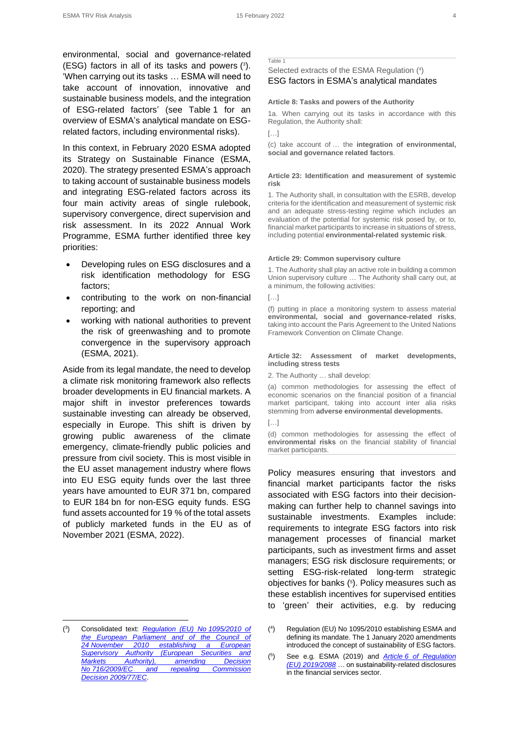environmental, social and governance-related (ESG) factors in all of its tasks and powers  $(3)$ . 'When carrying out its tasks … ESMA will need to take account of innovation, innovative and sustainable business models, and the integration of ESG-related factors' (see Table 1 for an overview of ESMA's analytical mandate on ESGrelated factors, including environmental risks).

In this context, in February 2020 ESMA adopted its Strategy on Sustainable Finance (ESMA, 2020). The strategy presented ESMA's approach to taking account of sustainable business models and integrating ESG-related factors across its four main activity areas of single rulebook, supervisory convergence, direct supervision and risk assessment. In its 2022 Annual Work Programme, ESMA further identified three key priorities:

- Developing rules on ESG disclosures and a risk identification methodology for ESG factors;
- contributing to the work on non-financial reporting; and
- working with national authorities to prevent the risk of greenwashing and to promote convergence in the supervisory approach (ESMA, 2021).

Aside from its legal mandate, the need to develop a climate risk monitoring framework also reflects broader developments in EU financial markets. A major shift in investor preferences towards sustainable investing can already be observed, especially in Europe. This shift is driven by growing public awareness of the climate emergency, climate-friendly public policies and pressure from civil society. This is most visible in the EU asset management industry where flows into EU ESG equity funds over the last three years have amounted to EUR 371 bn, compared to EUR 184 bn for non-ESG equity funds. ESG fund assets accounted for 19 % of the total assets of publicly marketed funds in the EU as of November 2021 (ESMA, 2022).

#### Table 1

#### Selected extracts of the ESMA Regulation ( 4 ) ESG factors in ESMA's analytical mandates

#### **Article 8: Tasks and powers of the Authority**

1a. When carrying out its tasks in accordance with this Regulation, the Authority shall:

[…]

(c) take account of … the **integration of environmental, social and governance related factors**.

#### **Article 23: Identification and measurement of systemic risk**

1. The Authority shall, in consultation with the ESRB, develop criteria for the identification and measurement of systemic risk and an adequate stress-testing regime which includes an evaluation of the potential for systemic risk posed by, or to, financial market participants to increase in situations of stress, including potential **environmental-related systemic risk**.

#### **Article 29: Common supervisory culture**

1. The Authority shall play an active role in building a common Union supervisory culture … The Authority shall carry out, at a minimum, the following activities:

[…]

(f) putting in place a monitoring system to assess material **environmental, social and governance-related risks**, taking into account the Paris Agreement to the United Nations Framework Convention on Climate Change.

#### **Article 32: Assessment of market developments, including stress tests**

2. The Authority … shall develop:

(a) common methodologies for assessing the effect of economic scenarios on the financial position of a financial market participant, taking into account inter alia risks stemming from **adverse environmental developments.**

(d) common methodologies for assessing the effect of **environmental risks** on the financial stability of financial market participants.

Policy measures ensuring that investors and financial market participants factor the risks associated with ESG factors into their decisionmaking can further help to channel savings into sustainable investments. Examples include: requirements to integrate ESG factors into risk management processes of financial market participants, such as investment firms and asset managers; ESG risk disclosure requirements; or setting ESG-risk-related long-term strategic objectives for banks ( 5 ). Policy measures such as these establish incentives for supervised entities to 'green' their activities, e.g. by reducing

 $(3)$ ) Consolidated text: *[Regulation \(EU\) No](https://eur-lex.europa.eu/legal-content/EN/TXT/?uri=CELEX:02010R1095-20200101) 1095/2010 of [the European Parliament and of the Council of](https://eur-lex.europa.eu/legal-content/EN/TXT/?uri=CELEX:02010R1095-20200101)  24 [November 2010 establishing a European](https://eur-lex.europa.eu/legal-content/EN/TXT/?uri=CELEX:02010R1095-20200101)  [Supervisory Authority \(European Securities and](https://eur-lex.europa.eu/legal-content/EN/TXT/?uri=CELEX:02010R1095-20200101)  [Markets Authority\), amending Decision](https://eur-lex.europa.eu/legal-content/EN/TXT/?uri=CELEX:02010R1095-20200101)  No [716/2009/EC and repealing Commission](https://eur-lex.europa.eu/legal-content/EN/TXT/?uri=CELEX:02010R1095-20200101)  Decision [2009/77/EC](https://eur-lex.europa.eu/legal-content/EN/TXT/?uri=CELEX:02010R1095-20200101)*.

 $[...]$ 

 $($ <sup>4</sup> ) Regulation (EU) No 1095/2010 establishing ESMA and defining its mandate. The 1 January 2020 amendments introduced the concept of sustainability of ESG factors.

<sup>(</sup> 5 ) See e.g. ESMA (2019) and *Article [6 of Regulation](https://eur-lex.europa.eu/legal-content/EN/TXT/PDF/?uri=CELEX:32019R2088&qid=1643970214025&from=EN#page=10)  (EU) [2019/2088](https://eur-lex.europa.eu/legal-content/EN/TXT/PDF/?uri=CELEX:32019R2088&qid=1643970214025&from=EN#page=10)* … on sustainability-related disclosures in the financial services sector.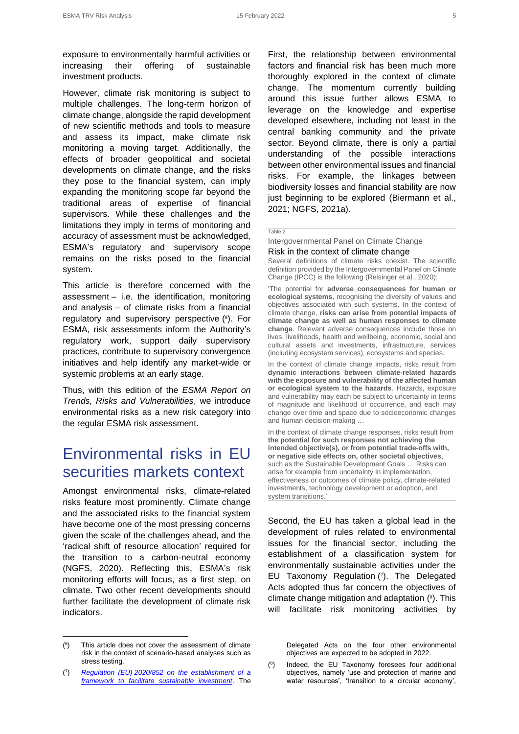exposure to environmentally harmful activities or increasing their offering of sustainable investment products.

However, climate risk monitoring is subject to multiple challenges. The long-term horizon of climate change, alongside the rapid development of new scientific methods and tools to measure and assess its impact, make climate risk monitoring a moving target. Additionally, the effects of broader geopolitical and societal developments on climate change, and the risks they pose to the financial system, can imply expanding the monitoring scope far beyond the traditional areas of expertise of financial supervisors. While these challenges and the limitations they imply in terms of monitoring and accuracy of assessment must be acknowledged, ESMA's regulatory and supervisory scope remains on the risks posed to the financial system.

This article is therefore concerned with the assessment – i.e. the identification, monitoring and analysis – of climate risks from a financial regulatory and supervisory perspective ( 6 ). For ESMA, risk assessments inform the Authority's regulatory work, support daily supervisory practices, contribute to supervisory convergence initiatives and help identify any market-wide or systemic problems at an early stage.

Thus, with this edition of the *ESMA Report on Trends, Risks and Vulnerabilities*, we introduce environmental risks as a new risk category into the regular ESMA risk assessment.

## Environmental risks in EU securities markets context

Amongst environmental risks, climate-related risks feature most prominently. Climate change and the associated risks to the financial system have become one of the most pressing concerns given the scale of the challenges ahead, and the 'radical shift of resource allocation' required for the transition to a carbon-neutral economy (NGFS, 2020). Reflecting this, ESMA's risk monitoring efforts will focus, as a first step, on climate. Two other recent developments should further facilitate the development of climate risk indicators.

First, the relationship between environmental factors and financial risk has been much more thoroughly explored in the context of climate change. The momentum currently building around this issue further allows ESMA to leverage on the knowledge and expertise developed elsewhere, including not least in the central banking community and the private sector. Beyond climate, there is only a partial understanding of the possible interactions between other environmental issues and financial risks. For example, the linkages between biodiversity losses and financial stability are now just beginning to be explored (Biermann et al., 2021; NGFS, 2021a).

#### Table 2

Intergovernmental Panel on Climate Change Risk in the context of climate change

Several definitions of climate risks coexist. The scientific definition provided by the Intergovernmental Panel on Climate Change (IPCC) is the following (Reisinger et al., 2020):

'The potential for **adverse consequences for human or ecological systems**, recognising the diversity of values and objectives associated with such systems. In the context of climate change, **risks can arise from potential impacts of climate change as well as human responses to climate change**. Relevant adverse consequences include those on lives, livelihoods, health and wellbeing, economic, social and cultural assets and investments, infrastructure, services (including ecosystem services), ecosystems and species.

In the context of climate change impacts, risks result from **dynamic interactions between climate-related hazards with the exposure and vulnerability of the affected human or ecological system to the hazards**. Hazards, exposure and vulnerability may each be subject to uncertainty in terms of magnitude and likelihood of occurrence, and each may change over time and space due to socioeconomic changes and human decision-making …

In the context of climate change responses, risks result from **the potential for such responses not achieving the intended objective(s), or from potential trade-offs with, or negative side effects on, other societal objectives**, such as the Sustainable Development Goals … Risks can arise for example from uncertainty in implementation, effectiveness or outcomes of climate policy, climate-related investments, technology development or adoption, and system transitions.'

Second, the EU has taken a global lead in the development of rules related to environmental issues for the financial sector, including the establishment of a classification system for environmentally sustainable activities under the EU Taxonomy Regulation ( 7 ). The Delegated Acts adopted thus far concern the objectives of climate change mitigation and adaptation ( 8 ). This will facilitate risk monitoring activities by

Delegated Acts on the four other environmental objectives are expected to be adopted in 2022.

<sup>(</sup> 6 This article does not cover the assessment of climate risk in the context of scenario-based analyses such as stress testing.

<sup>(</sup> 7 ) *Regulation (EU) [2020/852 on the establishment of a](https://eur-lex.europa.eu/legal-content/EN/TXT/?uri=CELEX%3A32020R0852&qid=1643972734869)  [framework to facilitate sustainable investment](https://eur-lex.europa.eu/legal-content/EN/TXT/?uri=CELEX%3A32020R0852&qid=1643972734869)*. The

 $(8)$ Indeed, the EU Taxonomy foresees four additional objectives, namely 'use and protection of marine and water resources', 'transition to a circular economy',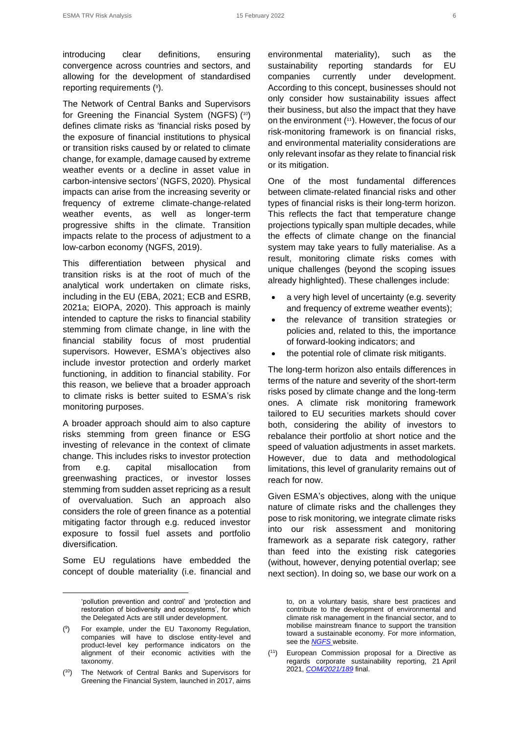introducing clear definitions, ensuring convergence across countries and sectors, and allowing for the development of standardised reporting requirements (<sup>9</sup>).

The Network of Central Banks and Supervisors for Greening the Financial System (NGFS) ( 10) defines climate risks as 'financial risks posed by the exposure of financial institutions to physical or transition risks caused by or related to climate change, for example, damage caused by extreme weather events or a decline in asset value in carbon-intensive sectors' (NGFS, 2020)*.* Physical impacts can arise from the increasing severity or frequency of extreme climate-change-related weather events, as well as longer-term progressive shifts in the climate. Transition impacts relate to the process of adjustment to a low-carbon economy (NGFS, 2019).

This differentiation between physical and transition risks is at the root of much of the analytical work undertaken on climate risks, including in the EU (EBA, 2021; ECB and ESRB, 2021a; EIOPA, 2020). This approach is mainly intended to capture the risks to financial stability stemming from climate change, in line with the financial stability focus of most prudential supervisors. However, ESMA's objectives also include investor protection and orderly market functioning, in addition to financial stability. For this reason, we believe that a broader approach to climate risks is better suited to ESMA's risk monitoring purposes.

A broader approach should aim to also capture risks stemming from green finance or ESG investing of relevance in the context of climate change. This includes risks to investor protection from e.g. capital misallocation from greenwashing practices, or investor losses stemming from sudden asset repricing as a result of overvaluation. Such an approach also considers the role of green finance as a potential mitigating factor through e.g. reduced investor exposure to fossil fuel assets and portfolio diversification.

Some EU regulations have embedded the concept of double materiality (i.e. financial and

environmental materiality), such as the sustainability reporting standards for EU companies currently under development. According to this concept, businesses should not only consider how sustainability issues affect their business, but also the impact that they have on the environment ( <sup>11</sup>). However, the focus of our risk-monitoring framework is on financial risks, and environmental materiality considerations are only relevant insofar as they relate to financial risk or its mitigation.

One of the most fundamental differences between climate-related financial risks and other types of financial risks is their long-term horizon. This reflects the fact that temperature change projections typically span multiple decades, while the effects of climate change on the financial system may take years to fully materialise. As a result, monitoring climate risks comes with unique challenges (beyond the scoping issues already highlighted). These challenges include:

- a very high level of uncertainty (e.g. severity and frequency of extreme weather events);
- the relevance of transition strategies or policies and, related to this, the importance of forward-looking indicators; and
- the potential role of climate risk mitigants.

The long-term horizon also entails differences in terms of the nature and severity of the short-term risks posed by climate change and the long-term ones. A climate risk monitoring framework tailored to EU securities markets should cover both, considering the ability of investors to rebalance their portfolio at short notice and the speed of valuation adjustments in asset markets. However, due to data and methodological limitations, this level of granularity remains out of reach for now.

Given ESMA's objectives, along with the unique nature of climate risks and the challenges they pose to risk monitoring, we integrate climate risks into our risk assessment and monitoring framework as a separate risk category, rather than feed into the existing risk categories (without, however, denying potential overlap; see next section). In doing so, we base our work on a

to, on a voluntary basis, share best practices and contribute to the development of environmental and climate risk management in the financial sector, and to mobilise mainstream finance to support the transition toward a sustainable economy. For more information, see the *[NGFS](https://www.ngfs.net/en)* website.

 $(11)$ European Commission proposal for a Directive as regards corporate sustainability reporting, 21 April 2021, *[COM/2021/189](https://eur-lex.europa.eu/legal-content/EN/TXT/?uri=CELEX%3A52021PC0189&qid=1643978775025)* final.

<sup>&#</sup>x27;pollution prevention and control' and 'protection and restoration of biodiversity and ecosystems', for which the Delegated Acts are still under development.

<sup>(</sup> 9 ) For example, under the EU Taxonomy Regulation, companies will have to disclose entity-level and product-level key performance indicators on the alignment of their economic activities with the taxonomy.

 $(10)$ The Network of Central Banks and Supervisors for Greening the Financial System, launched in 2017, aims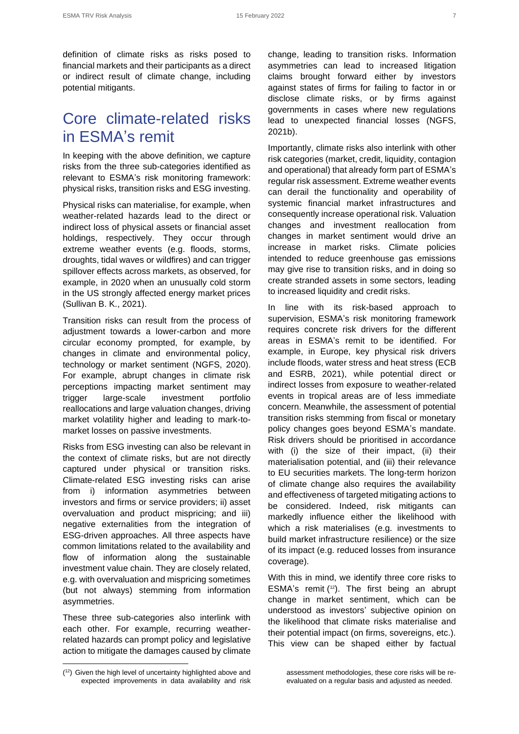definition of climate risks as risks posed to financial markets and their participants as a direct or indirect result of climate change, including potential mitigants.

### Core climate-related risks in ESMA's remit

In keeping with the above definition, we capture risks from the three sub-categories identified as relevant to ESMA's risk monitoring framework: physical risks, transition risks and ESG investing.

Physical risks can materialise, for example, when weather-related hazards lead to the direct or indirect loss of physical assets or financial asset holdings, respectively. They occur through extreme weather events (e.g. floods, storms, droughts, tidal waves or wildfires) and can trigger spillover effects across markets, as observed, for example, in 2020 when an unusually cold storm in the US strongly affected energy market prices (Sullivan B. K., 2021).

Transition risks can result from the process of adjustment towards a lower-carbon and more circular economy prompted, for example, by changes in climate and environmental policy, technology or market sentiment (NGFS, 2020). For example, abrupt changes in climate risk perceptions impacting market sentiment may trigger large-scale investment portfolio reallocations and large valuation changes, driving market volatility higher and leading to mark-tomarket losses on passive investments.

Risks from ESG investing can also be relevant in the context of climate risks, but are not directly captured under physical or transition risks. Climate-related ESG investing risks can arise from i) information asymmetries between investors and firms or service providers; ii) asset overvaluation and product mispricing; and iii) negative externalities from the integration of ESG-driven approaches. All three aspects have common limitations related to the availability and flow of information along the sustainable investment value chain. They are closely related, e.g. with overvaluation and mispricing sometimes (but not always) stemming from information asymmetries.

These three sub-categories also interlink with each other. For example, recurring weatherrelated hazards can prompt policy and legislative action to mitigate the damages caused by climate change, leading to transition risks. Information asymmetries can lead to increased litigation claims brought forward either by investors against states of firms for failing to factor in or disclose climate risks, or by firms against governments in cases where new regulations lead to unexpected financial losses (NGFS, 2021b).

Importantly, climate risks also interlink with other risk categories (market, credit, liquidity, contagion and operational) that already form part of ESMA's regular risk assessment. Extreme weather events can derail the functionality and operability of systemic financial market infrastructures and consequently increase operational risk. Valuation changes and investment reallocation from changes in market sentiment would drive an increase in market risks. Climate policies intended to reduce greenhouse gas emissions may give rise to transition risks, and in doing so create stranded assets in some sectors, leading to increased liquidity and credit risks.

In line with its risk-based approach to supervision, ESMA's risk monitoring framework requires concrete risk drivers for the different areas in ESMA's remit to be identified. For example, in Europe, key physical risk drivers include floods, water stress and heat stress (ECB and ESRB, 2021), while potential direct or indirect losses from exposure to weather-related events in tropical areas are of less immediate concern. Meanwhile, the assessment of potential transition risks stemming from fiscal or monetary policy changes goes beyond ESMA's mandate. Risk drivers should be prioritised in accordance with (i) the size of their impact, (ii) their materialisation potential, and (iii) their relevance to EU securities markets. The long-term horizon of climate change also requires the availability and effectiveness of targeted mitigating actions to be considered. Indeed, risk mitigants can markedly influence either the likelihood with which a risk materialises (e.g. investments to build market infrastructure resilience) or the size of its impact (e.g. reduced losses from insurance coverage).

With this in mind, we identify three core risks to ESMA's remit  $(12)$ . The first being an abrupt change in market sentiment, which can be understood as investors' subjective opinion on the likelihood that climate risks materialise and their potential impact (on firms, sovereigns, etc.). This view can be shaped either by factual

assessment methodologies, these core risks will be reevaluated on a regular basis and adjusted as needed.

<sup>(</sup> <sup>12</sup>) Given the high level of uncertainty highlighted above and expected improvements in data availability and risk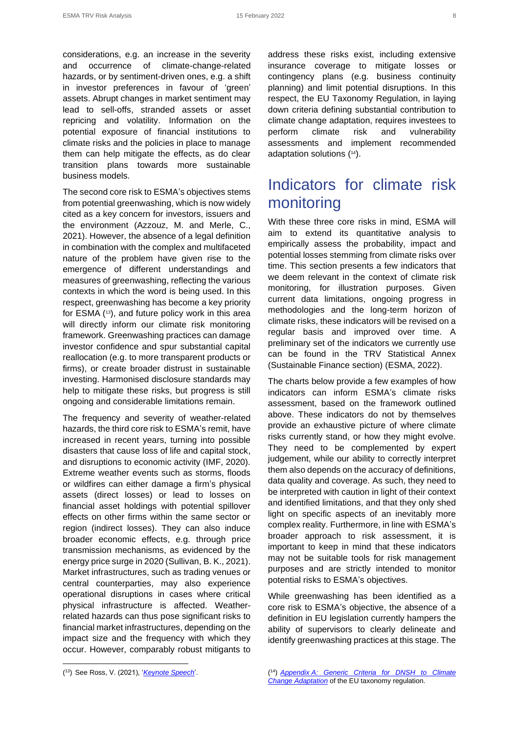considerations, e.g. an increase in the severity and occurrence of climate-change-related hazards, or by sentiment-driven ones, e.g. a shift in investor preferences in favour of 'green' assets. Abrupt changes in market sentiment may lead to sell-offs, stranded assets or asset repricing and volatility. Information on the potential exposure of financial institutions to climate risks and the policies in place to manage them can help mitigate the effects, as do clear transition plans towards more sustainable business models.

The second core risk to ESMA's objectives stems from potential greenwashing, which is now widely cited as a key concern for investors, issuers and the environment (Azzouz, M. and Merle, C., 2021). However, the absence of a legal definition in combination with the complex and multifaceted nature of the problem have given rise to the emergence of different understandings and measures of greenwashing, reflecting the various contexts in which the word is being used. In this respect, greenwashing has become a key priority for ESMA ( <sup>13</sup>), and future policy work in this area will directly inform our climate risk monitoring framework. Greenwashing practices can damage investor confidence and spur substantial capital reallocation (e.g. to more transparent products or firms), or create broader distrust in sustainable investing. Harmonised disclosure standards may help to mitigate these risks, but progress is still ongoing and considerable limitations remain.

The frequency and severity of weather-related hazards, the third core risk to ESMA's remit, have increased in recent years, turning into possible disasters that cause loss of life and capital stock, and disruptions to economic activity (IMF, 2020). Extreme weather events such as storms, floods or wildfires can either damage a firm's physical assets (direct losses) or lead to losses on financial asset holdings with potential spillover effects on other firms within the same sector or region (indirect losses). They can also induce broader economic effects, e.g. through price transmission mechanisms, as evidenced by the energy price surge in 2020 (Sullivan, B. K., 2021). Market infrastructures, such as trading venues or central counterparties, may also experience operational disruptions in cases where critical physical infrastructure is affected. Weatherrelated hazards can thus pose significant risks to financial market infrastructures, depending on the impact size and the frequency with which they occur. However, comparably robust mitigants to address these risks exist, including extensive insurance coverage to mitigate losses or contingency plans (e.g. business continuity planning) and limit potential disruptions. In this respect, the EU Taxonomy Regulation, in laying down criteria defining substantial contribution to climate change adaptation, requires investees to perform climate risk and vulnerability assessments and implement recommended adaptation solutions ( <sup>14</sup>).

## Indicators for climate risk monitoring

With these three core risks in mind, ESMA will aim to extend its quantitative analysis to empirically assess the probability, impact and potential losses stemming from climate risks over time. This section presents a few indicators that we deem relevant in the context of climate risk monitoring, for illustration purposes. Given current data limitations, ongoing progress in methodologies and the long-term horizon of climate risks, these indicators will be revised on a regular basis and improved over time. A preliminary set of the indicators we currently use can be found in the TRV Statistical Annex (Sustainable Finance section) (ESMA, 2022).

The charts below provide a few examples of how indicators can inform ESMA's climate risks assessment, based on the framework outlined above. These indicators do not by themselves provide an exhaustive picture of where climate risks currently stand, or how they might evolve. They need to be complemented by expert judgement, while our ability to correctly interpret them also depends on the accuracy of definitions, data quality and coverage. As such, they need to be interpreted with caution in light of their context and identified limitations, and that they only shed light on specific aspects of an inevitably more complex reality. Furthermore, in line with ESMA's broader approach to risk assessment, it is important to keep in mind that these indicators may not be suitable tools for risk management purposes and are strictly intended to monitor potential risks to ESMA's objectives.

While greenwashing has been identified as a core risk to ESMA's objective, the absence of a definition in EU legislation currently hampers the ability of supervisors to clearly delineate and identify greenwashing practices at this stage. The

<sup>(</sup> <sup>13</sup>) See Ross, V. (2021), '*[Keynote Speech](https://www.esma.europa.eu/sites/default/files/library/esma32-67-800_esma_chair_keynote_speech_dsw_esg_conference_19_november_2021.pdf)*'.

<sup>(</sup> <sup>14</sup>) *Appendix [A: Generic Criteria for DNSH to Climate](https://ec.europa.eu/sustainable-finance-taxonomy/documents/CCM%20Appendix%20A.pdf)  [Change Adaptation](https://ec.europa.eu/sustainable-finance-taxonomy/documents/CCM%20Appendix%20A.pdf)* of the EU taxonomy regulation.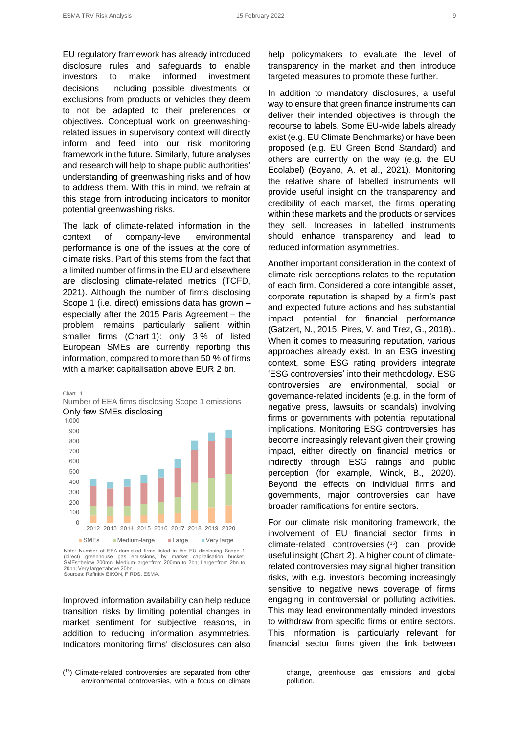EU regulatory framework has already introduced disclosure rules and safeguards to enable investors to make informed investment decisions − including possible divestments or exclusions from products or vehicles they deem to not be adapted to their preferences or objectives. Conceptual work on greenwashingrelated issues in supervisory context will directly inform and feed into our risk monitoring framework in the future. Similarly, future analyses and research will help to shape public authorities' understanding of greenwashing risks and of how to address them. With this in mind, we refrain at this stage from introducing indicators to monitor potential greenwashing risks.

The lack of climate-related information in the context of company-level environmental performance is one of the issues at the core of climate risks. Part of this stems from the fact that a limited number of firms in the EU and elsewhere are disclosing climate-related metrics (TCFD, 2021). Although the number of firms disclosing Scope 1 (i.e. direct) emissions data has grown – especially after the 2015 Paris Agreement – the problem remains particularly salient within smaller firms (Chart 1): only 3 % of listed European SMEs are currently reporting this information, compared to more than 50 % of firms with a market capitalisation above EUR 2 bn.

Chart 1 Number of EEA firms disclosing Scope 1 emissions Only few SMEs disclosing 0 100 200 300 400 500 600 700 800 900 1,000 2012 2013 2014 2015 2016 2017 2018 2019 2020 ■SMEs Medium-large Large Very large Note: Number of EEA-domiciled firms listed in the EU disclosing Scope 1 (direct) greenhouse gas emissions, by market capitalisation bucket. SMEs=below 200mn; Medium-large=from 200mn to 2bn; Large=from 2bn to 20bn; Very large=above 20bn. Sources: Refinitiv EIKON, FIRDS, ESMA.

Improved information availability can help reduce transition risks by limiting potential changes in market sentiment for subjective reasons, in addition to reducing information asymmetries. Indicators monitoring firms' disclosures can also help policymakers to evaluate the level of transparency in the market and then introduce targeted measures to promote these further.

In addition to mandatory disclosures, a useful way to ensure that green finance instruments can deliver their intended objectives is through the recourse to labels. Some EU-wide labels already exist (e.g. EU Climate Benchmarks) or have been proposed (e.g. EU Green Bond Standard) and others are currently on the way (e.g. the EU Ecolabel) (Boyano, A. et al., 2021). Monitoring the relative share of labelled instruments will provide useful insight on the transparency and credibility of each market, the firms operating within these markets and the products or services they sell. Increases in labelled instruments should enhance transparency and lead to reduced information asymmetries.

Another important consideration in the context of climate risk perceptions relates to the reputation of each firm. Considered a core intangible asset, corporate reputation is shaped by a firm's past and expected future actions and has substantial impact potential for financial performance (Gatzert, N., 2015; Pires, V. and Trez, G., 2018).. When it comes to measuring reputation, various approaches already exist. In an ESG investing context, some ESG rating providers integrate 'ESG controversies' into their methodology. ESG controversies are environmental, social or governance-related incidents (e.g. in the form of negative press, lawsuits or scandals) involving firms or governments with potential reputational implications. Monitoring ESG controversies has become increasingly relevant given their growing impact, either directly on financial metrics or indirectly through ESG ratings and public perception (for example, Winck, B., 2020). Beyond the effects on individual firms and governments, major controversies can have broader ramifications for entire sectors.

For our climate risk monitoring framework, the involvement of EU financial sector firms in climate-related controversies ( <sup>15</sup>) can provide useful insight (Chart 2). A higher count of climaterelated controversies may signal higher transition risks, with e.g. investors becoming increasingly sensitive to negative news coverage of firms engaging in controversial or polluting activities. This may lead environmentally minded investors to withdraw from specific firms or entire sectors. This information is particularly relevant for financial sector firms given the link between

<sup>(</sup> <sup>15</sup>) Climate-related controversies are separated from other environmental controversies, with a focus on climate

change, greenhouse gas emissions and global pollution.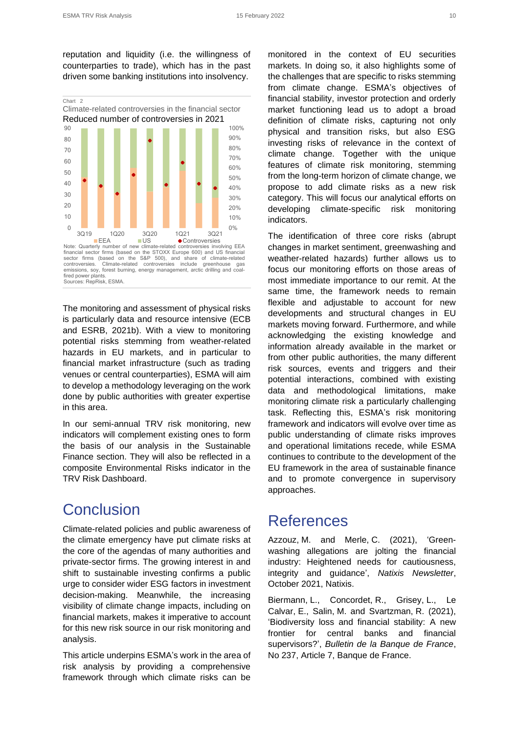reputation and liquidity (i.e. the willingness of counterparties to trade), which has in the past driven some banking institutions into insolvency.



fired power plants. Sources: RepRisk, ESMA.

The monitoring and assessment of physical risks is particularly data and resource intensive (ECB and ESRB, 2021b). With a view to monitoring potential risks stemming from weather-related hazards in EU markets, and in particular to financial market infrastructure (such as trading venues or central counterparties), ESMA will aim to develop a methodology leveraging on the work done by public authorities with greater expertise in this area.

In our semi-annual TRV risk monitoring, new indicators will complement existing ones to form the basis of our analysis in the Sustainable Finance section. They will also be reflected in a composite Environmental Risks indicator in the TRV Risk Dashboard.

## Conclusion

Climate-related policies and public awareness of the climate emergency have put climate risks at the core of the agendas of many authorities and private-sector firms. The growing interest in and shift to sustainable investing confirms a public urge to consider wider ESG factors in investment decision-making. Meanwhile, the increasing visibility of climate change impacts, including on financial markets, makes it imperative to account for this new risk source in our risk monitoring and analysis.

This article underpins ESMA's work in the area of risk analysis by providing a comprehensive framework through which climate risks can be

monitored in the context of EU securities markets. In doing so, it also highlights some of the challenges that are specific to risks stemming from climate change. ESMA's objectives of financial stability, investor protection and orderly market functioning lead us to adopt a broad definition of climate risks, capturing not only physical and transition risks, but also ESG investing risks of relevance in the context of climate change. Together with the unique features of climate risk monitoring, stemming from the long-term horizon of climate change, we propose to add climate risks as a new risk category. This will focus our analytical efforts on developing climate-specific risk monitoring indicators.

The identification of three core risks (abrupt changes in market sentiment, greenwashing and weather-related hazards) further allows us to focus our monitoring efforts on those areas of most immediate importance to our remit. At the same time, the framework needs to remain flexible and adjustable to account for new developments and structural changes in EU markets moving forward. Furthermore, and while acknowledging the existing knowledge and information already available in the market or from other public authorities, the many different risk sources, events and triggers and their potential interactions, combined with existing data and methodological limitations, make monitoring climate risk a particularly challenging task. Reflecting this, ESMA's risk monitoring framework and indicators will evolve over time as public understanding of climate risks improves and operational limitations recede, while ESMA continues to contribute to the development of the EU framework in the area of sustainable finance and to promote convergence in supervisory approaches.

## **References**

Azzouz, M. and Merle, C. (2021), 'Greenwashing allegations are jolting the financial industry: Heightened needs for cautiousness, integrity and guidance', *Natixis Newsletter*, October 2021, Natixis.

Biermann, L., Concordet, R., Grisey, L., Le Calvar, E., Salin, M. and Svartzman, R. (2021), 'Biodiversity loss and financial stability: A new frontier for central banks and financial supervisors?', *Bulletin de la Banque de France*, No 237, Article 7, Banque de France.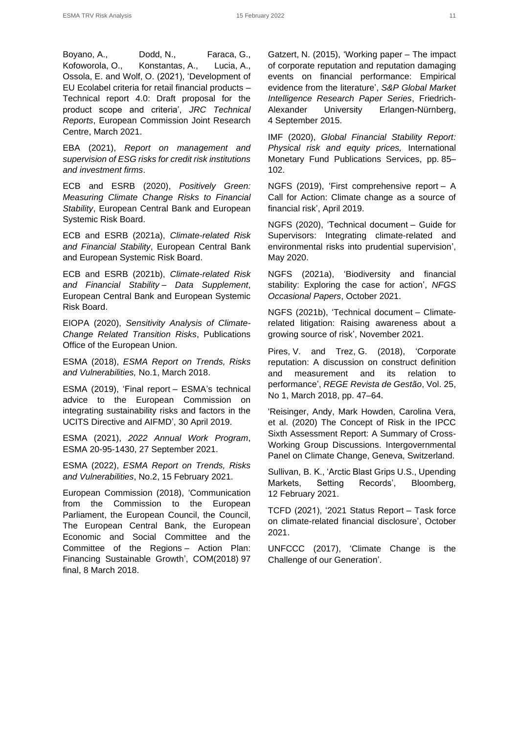Boyano, A., Dodd, N., Faraca, G., Kofoworola, O., Konstantas, A., Lucia, A., Ossola, E. and Wolf, O. (2021), 'Development of EU Ecolabel criteria for retail financial products – Technical report 4.0: Draft proposal for the product scope and criteria', *JRC Technical Reports*, European Commission Joint Research Centre, March 2021.

EBA (2021), *Report on management and supervision of ESG risks for credit risk institutions and investment firms*.

ECB and ESRB (2020), *Positively Green: Measuring Climate Change Risks to Financial Stability*, European Central Bank and European Systemic Risk Board.

ECB and ESRB (2021a), *Climate-related Risk and Financial Stability*, European Central Bank and European Systemic Risk Board.

ECB and ESRB (2021b), *Climate-related Risk and Financial Stability – Data Supplement*, European Central Bank and European Systemic Risk Board.

EIOPA (2020), *Sensitivity Analysis of Climate-Change Related Transition Risks*, Publications Office of the European Union.

ESMA (2018), *ESMA Report on Trends, Risks and Vulnerabilities,* No.1, March 2018.

ESMA (2019), 'Final report – ESMA's technical advice to the European Commission on integrating sustainability risks and factors in the UCITS Directive and AIFMD', 30 April 2019.

ESMA (2021), *2022 Annual Work Program*, ESMA 20-95-1430, 27 September 2021.

ESMA (2022), *ESMA Report on Trends, Risks and Vulnerabilities*, No.2, 15 February 2021.

European Commission (2018), 'Communication from the Commission to the European Parliament, the European Council, the Council, The European Central Bank, the European Economic and Social Committee and the Committee of the Regions – Action Plan: Financing Sustainable Growth', COM(2018) 97 final, 8 March 2018.

Gatzert, N. (2015), 'Working paper – The impact of corporate reputation and reputation damaging events on financial performance: Empirical evidence from the literature', *S&P Global Market Intelligence Research Paper Series*, Friedrich-Alexander University Erlangen-Nürnberg, 4 September 2015.

IMF (2020), *Global Financial Stability Report: Physical risk and equity prices,* International Monetary Fund Publications Services, pp. 85– 102.

NGFS (2019), 'First comprehensive report – A Call for Action: Climate change as a source of financial risk', April 2019.

NGFS (2020), 'Technical document – Guide for Supervisors: Integrating climate-related and environmental risks into prudential supervision', May 2020.

NGFS (2021a), 'Biodiversity and financial stability: Exploring the case for action', *NFGS Occasional Papers*, October 2021.

NGFS (2021b), 'Technical document – Climaterelated litigation: Raising awareness about a growing source of risk', November 2021.

Pires, V. and Trez, G. (2018), 'Corporate reputation: A discussion on construct definition and measurement and its relation to performance', *REGE Revista de Gestão*, Vol. 25, No 1, March 2018, pp. 47–64.

'Reisinger, Andy, Mark Howden, Carolina Vera, et al. (2020) The Concept of Risk in the IPCC Sixth Assessment Report: A Summary of Cross-Working Group Discussions. Intergovernmental Panel on Climate Change, Geneva, Switzerland.

Sullivan, B. K., 'Arctic Blast Grips U.S., Upending Markets, Setting Records', Bloomberg, 12 February 2021.

TCFD (2021), '2021 Status Report – Task force on climate-related financial disclosure', October 2021.

UNFCCC (2017), 'Climate Change is the Challenge of our Generation'.